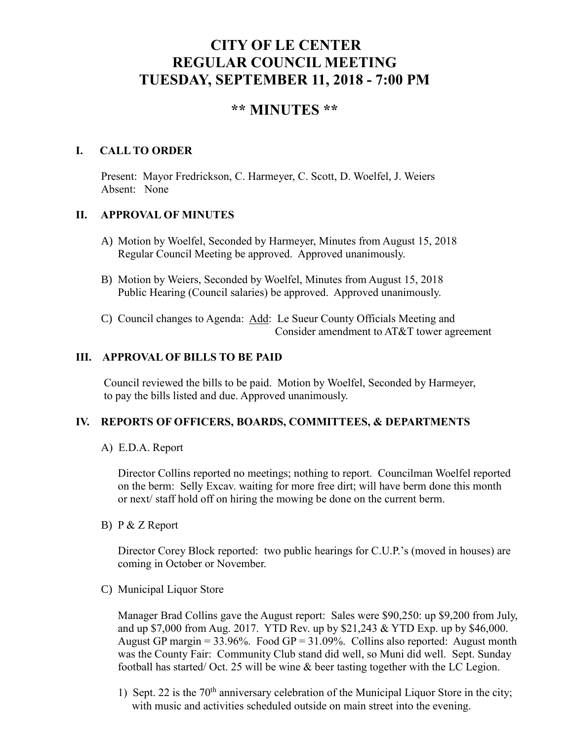# **CITY OF LE CENTER REGULAR COUNCIL MEETING TUESDAY, SEPTEMBER 11, 2018 - 7:00 PM**

# **\*\* MINUTES \*\***

# **I. CALL TO ORDER**

Present: Mayor Fredrickson, C. Harmeyer, C. Scott, D. Woelfel, J. Weiers Absent: None

# **II. APPROVAL OF MINUTES**

- A) Motion by Woelfel, Seconded by Harmeyer, Minutes from August 15, 2018 Regular Council Meeting be approved. Approved unanimously.
- B) Motion by Weiers, Seconded by Woelfel, Minutes from August 15, 2018 Public Hearing (Council salaries) be approved. Approved unanimously.
- C) Council changes to Agenda: Add: Le Sueur County Officials Meeting and Consider amendment to AT&T tower agreement

# **III. APPROVAL OF BILLS TO BE PAID**

Council reviewed the bills to be paid. Motion by Woelfel, Seconded by Harmeyer, to pay the bills listed and due. Approved unanimously.

# **IV. REPORTS OF OFFICERS, BOARDS, COMMITTEES, & DEPARTMENTS**

A) E.D.A. Report

 Director Collins reported no meetings; nothing to report. Councilman Woelfel reported on the berm: Selly Excav. waiting for more free dirt; will have berm done this month or next/ staff hold off on hiring the mowing be done on the current berm.

B) P & Z Report

Director Corey Block reported: two public hearings for C.U.P.'s (moved in houses) are coming in October or November.

C) Municipal Liquor Store

Manager Brad Collins gave the August report: Sales were \$90,250: up \$9,200 from July, and up \$7,000 from Aug. 2017. YTD Rev. up by \$21,243 & YTD Exp. up by \$46,000. August GP margin =  $33.96\%$ . Food GP =  $31.09\%$ . Collins also reported: August month was the County Fair: Community Club stand did well, so Muni did well. Sept. Sunday football has started/ Oct. 25 will be wine & beer tasting together with the LC Legion.

1) Sept. 22 is the  $70<sup>th</sup>$  anniversary celebration of the Municipal Liquor Store in the city; with music and activities scheduled outside on main street into the evening.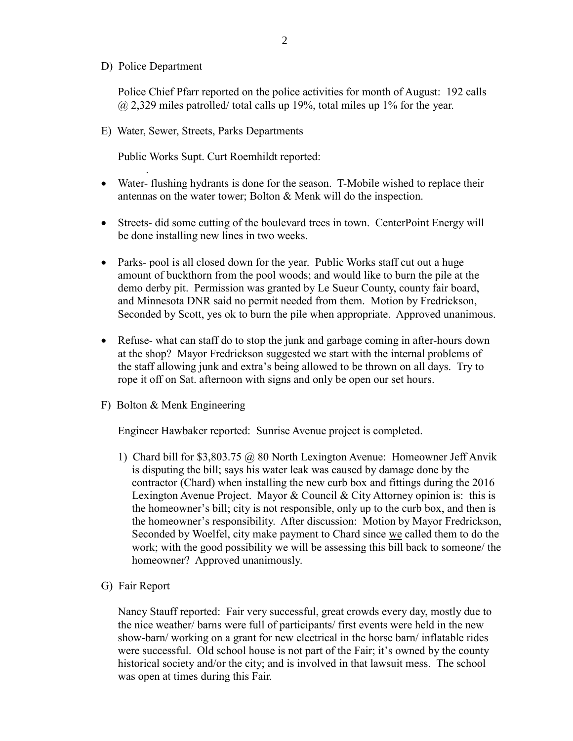D) Police Department

.

Police Chief Pfarr reported on the police activities for month of August: 192 calls  $\omega$  2,329 miles patrolled/ total calls up 19%, total miles up 1% for the year.

E) Water, Sewer, Streets, Parks Departments

Public Works Supt. Curt Roemhildt reported:

- Water- flushing hydrants is done for the season. T-Mobile wished to replace their antennas on the water tower; Bolton & Menk will do the inspection.
- Streets- did some cutting of the boulevard trees in town. CenterPoint Energy will be done installing new lines in two weeks.
- Parks- pool is all closed down for the year. Public Works staff cut out a huge amount of buckthorn from the pool woods; and would like to burn the pile at the demo derby pit. Permission was granted by Le Sueur County, county fair board, and Minnesota DNR said no permit needed from them. Motion by Fredrickson, Seconded by Scott, yes ok to burn the pile when appropriate. Approved unanimous.
- Refuse- what can staff do to stop the junk and garbage coming in after-hours down at the shop? Mayor Fredrickson suggested we start with the internal problems of the staff allowing junk and extra's being allowed to be thrown on all days. Try to rope it off on Sat. afternoon with signs and only be open our set hours.
- F) Bolton & Menk Engineering

Engineer Hawbaker reported: Sunrise Avenue project is completed.

- 1) Chard bill for \$3,803.75 @ 80 North Lexington Avenue: Homeowner Jeff Anvik is disputing the bill; says his water leak was caused by damage done by the contractor (Chard) when installing the new curb box and fittings during the 2016 Lexington Avenue Project. Mayor & Council & City Attorney opinion is: this is the homeowner's bill; city is not responsible, only up to the curb box, and then is the homeowner's responsibility. After discussion: Motion by Mayor Fredrickson, Seconded by Woelfel, city make payment to Chard since we called them to do the work; with the good possibility we will be assessing this bill back to someone/ the homeowner? Approved unanimously.
- G) Fair Report

 Nancy Stauff reported: Fair very successful, great crowds every day, mostly due to the nice weather/ barns were full of participants/ first events were held in the new show-barn/ working on a grant for new electrical in the horse barn/ inflatable rides were successful. Old school house is not part of the Fair; it's owned by the county historical society and/or the city; and is involved in that lawsuit mess. The school was open at times during this Fair.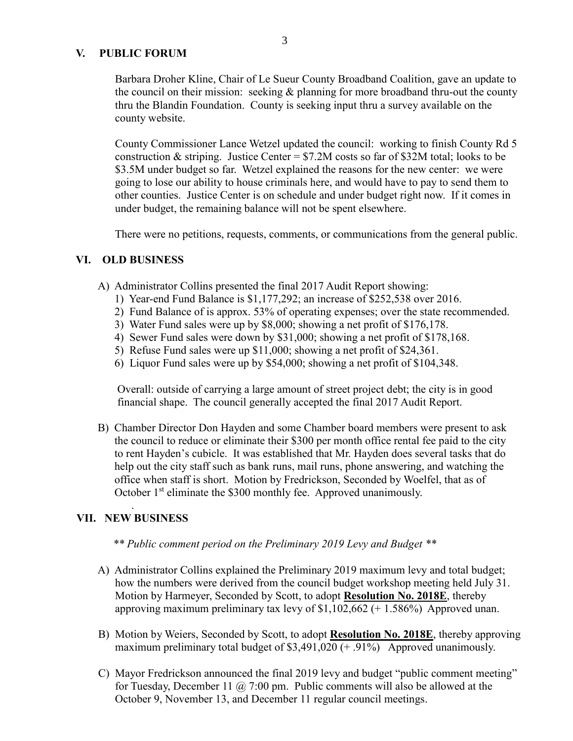#### **V. PUBLIC FORUM**

 Barbara Droher Kline, Chair of Le Sueur County Broadband Coalition, gave an update to the council on their mission: seeking & planning for more broadband thru-out the county thru the Blandin Foundation. County is seeking input thru a survey available on the county website.

 County Commissioner Lance Wetzel updated the council: working to finish County Rd 5 construction & striping. Justice Center = \$7.2M costs so far of \$32M total; looks to be \$3.5M under budget so far. Wetzel explained the reasons for the new center: we were going to lose our ability to house criminals here, and would have to pay to send them to other counties. Justice Center is on schedule and under budget right now. If it comes in under budget, the remaining balance will not be spent elsewhere.

There were no petitions, requests, comments, or communications from the general public.

#### **VI. OLD BUSINESS**

- A) Administrator Collins presented the final 2017 Audit Report showing:
	- 1) Year-end Fund Balance is \$1,177,292; an increase of \$252,538 over 2016.
	- 2) Fund Balance of is approx. 53% of operating expenses; over the state recommended.
	- 3) Water Fund sales were up by \$8,000; showing a net profit of \$176,178.
	- 4) Sewer Fund sales were down by \$31,000; showing a net profit of \$178,168.
	- 5) Refuse Fund sales were up \$11,000; showing a net profit of \$24,361.
	- 6) Liquor Fund sales were up by \$54,000; showing a net profit of \$104,348.

 Overall: outside of carrying a large amount of street project debt; the city is in good financial shape. The council generally accepted the final 2017 Audit Report.

B) Chamber Director Don Hayden and some Chamber board members were present to ask the council to reduce or eliminate their \$300 per month office rental fee paid to the city to rent Hayden's cubicle. It was established that Mr. Hayden does several tasks that do help out the city staff such as bank runs, mail runs, phone answering, and watching the office when staff is short. Motion by Fredrickson, Seconded by Woelfel, that as of October 1<sup>st</sup> eliminate the \$300 monthly fee. Approved unanimously.

# **VII. NEW BUSINESS**

.

- *\*\* Public comment period on the Preliminary 2019 Levy and Budget \*\**
- A) Administrator Collins explained the Preliminary 2019 maximum levy and total budget; how the numbers were derived from the council budget workshop meeting held July 31. Motion by Harmeyer, Seconded by Scott, to adopt **Resolution No. 2018E**, thereby approving maximum preliminary tax levy of  $$1,102,662 (+ 1.586%)$  Approved unan.
- B) Motion by Weiers, Seconded by Scott, to adopt **Resolution No. 2018E**, thereby approving maximum preliminary total budget of \$3,491,020 (+.91%) Approved unanimously.
- C) Mayor Fredrickson announced the final 2019 levy and budget "public comment meeting" for Tuesday, December 11  $\omega$  7:00 pm. Public comments will also be allowed at the October 9, November 13, and December 11 regular council meetings.